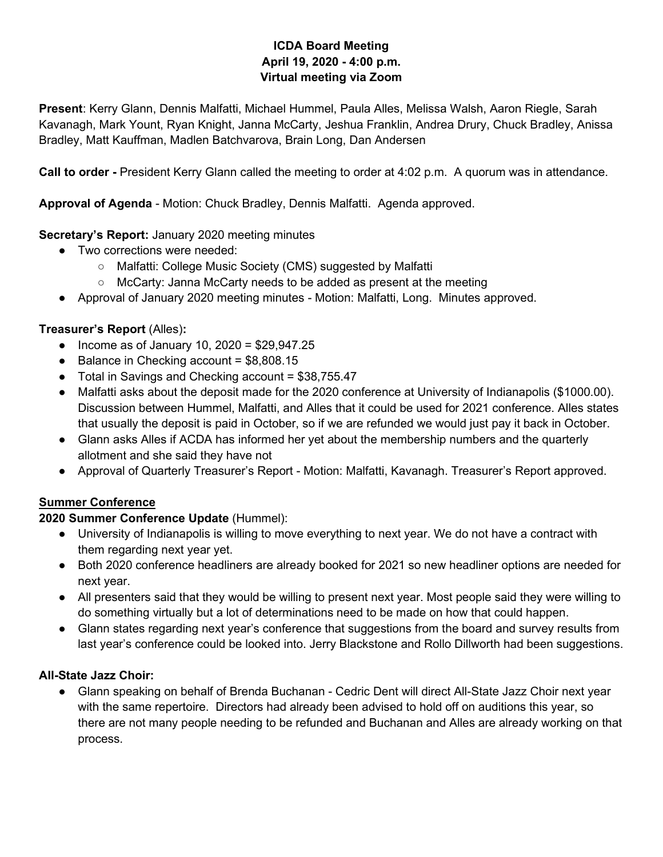#### **ICDA Board Meeting April 19, 2020 - 4:00 p.m. Virtual meeting via Zoom**

**Present**: Kerry Glann, Dennis Malfatti, Michael Hummel, Paula Alles, Melissa Walsh, Aaron Riegle, Sarah Kavanagh, Mark Yount, Ryan Knight, Janna McCarty, Jeshua Franklin, Andrea Drury, Chuck Bradley, Anissa Bradley, Matt Kauffman, Madlen Batchvarova, Brain Long, Dan Andersen

**Call to order -** President Kerry Glann called the meeting to order at 4:02 p.m. A quorum was in attendance.

**Approval of Agenda** - Motion: Chuck Bradley, Dennis Malfatti. Agenda approved.

## **Secretary's Report:** January 2020 meeting minutes

- Two corrections were needed:
	- Malfatti: College Music Society (CMS) suggested by Malfatti
	- McCarty: Janna McCarty needs to be added as present at the meeting
- Approval of January 2020 meeting minutes Motion: Malfatti, Long. Minutes approved.

#### **Treasurer's Report** (Alles)**:**

- Income as of January 10, 2020 = \$29,947.25
- Balance in Checking account =  $$8,808.15$
- Total in Savings and Checking account = \$38,755.47
- Malfatti asks about the deposit made for the 2020 conference at University of Indianapolis (\$1000.00). Discussion between Hummel, Malfatti, and Alles that it could be used for 2021 conference. Alles states that usually the deposit is paid in October, so if we are refunded we would just pay it back in October.
- Glann asks Alles if ACDA has informed her yet about the membership numbers and the quarterly allotment and she said they have not
- Approval of Quarterly Treasurer's Report Motion: Malfatti, Kavanagh. Treasurer's Report approved.

# **Summer Conference**

#### **2020 Summer Conference Update** (Hummel):

- University of Indianapolis is willing to move everything to next year. We do not have a contract with them regarding next year yet.
- Both 2020 conference headliners are already booked for 2021 so new headliner options are needed for next year.
- All presenters said that they would be willing to present next year. Most people said they were willing to do something virtually but a lot of determinations need to be made on how that could happen.
- Glann states regarding next year's conference that suggestions from the board and survey results from last year's conference could be looked into. Jerry Blackstone and Rollo Dillworth had been suggestions.

#### **All-State Jazz Choir:**

● Glann speaking on behalf of Brenda Buchanan - Cedric Dent will direct All-State Jazz Choir next year with the same repertoire. Directors had already been advised to hold off on auditions this year, so there are not many people needing to be refunded and Buchanan and Alles are already working on that process.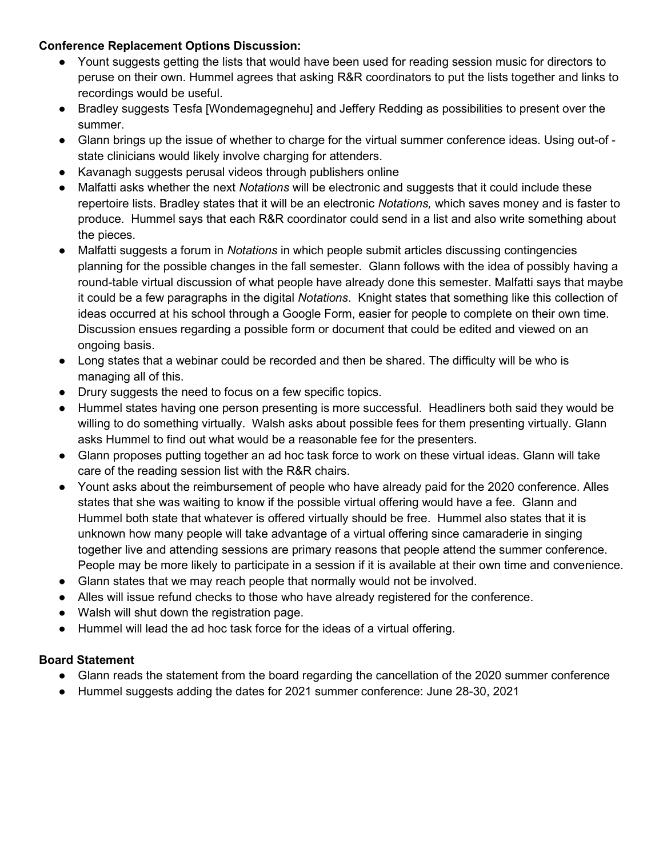#### **Conference Replacement Options Discussion:**

- Yount suggests getting the lists that would have been used for reading session music for directors to peruse on their own. Hummel agrees that asking R&R coordinators to put the lists together and links to recordings would be useful.
- Bradley suggests Tesfa [Wondemagegnehu] and Jeffery Redding as possibilities to present over the summer.
- Glann brings up the issue of whether to charge for the virtual summer conference ideas. Using out-of state clinicians would likely involve charging for attenders.
- Kavanagh suggests perusal videos through publishers online
- Malfatti asks whether the next *Notations* will be electronic and suggests that it could include these repertoire lists. Bradley states that it will be an electronic *Notations,* which saves money and is faster to produce. Hummel says that each R&R coordinator could send in a list and also write something about the pieces.
- Malfatti suggests a forum in *Notations* in which people submit articles discussing contingencies planning for the possible changes in the fall semester. Glann follows with the idea of possibly having a round-table virtual discussion of what people have already done this semester. Malfatti says that maybe it could be a few paragraphs in the digital *Notations*. Knight states that something like this collection of ideas occurred at his school through a Google Form, easier for people to complete on their own time. Discussion ensues regarding a possible form or document that could be edited and viewed on an ongoing basis.
- Long states that a webinar could be recorded and then be shared. The difficulty will be who is managing all of this.
- Drury suggests the need to focus on a few specific topics.
- Hummel states having one person presenting is more successful. Headliners both said they would be willing to do something virtually. Walsh asks about possible fees for them presenting virtually. Glann asks Hummel to find out what would be a reasonable fee for the presenters.
- Glann proposes putting together an ad hoc task force to work on these virtual ideas. Glann will take care of the reading session list with the R&R chairs.
- Yount asks about the reimbursement of people who have already paid for the 2020 conference. Alles states that she was waiting to know if the possible virtual offering would have a fee. Glann and Hummel both state that whatever is offered virtually should be free. Hummel also states that it is unknown how many people will take advantage of a virtual offering since camaraderie in singing together live and attending sessions are primary reasons that people attend the summer conference. People may be more likely to participate in a session if it is available at their own time and convenience.
- Glann states that we may reach people that normally would not be involved.
- Alles will issue refund checks to those who have already registered for the conference.
- Walsh will shut down the registration page.
- Hummel will lead the ad hoc task force for the ideas of a virtual offering.

#### **Board Statement**

- Glann reads the statement from the board regarding the cancellation of the 2020 summer conference
- Hummel suggests adding the dates for 2021 summer conference: June 28-30, 2021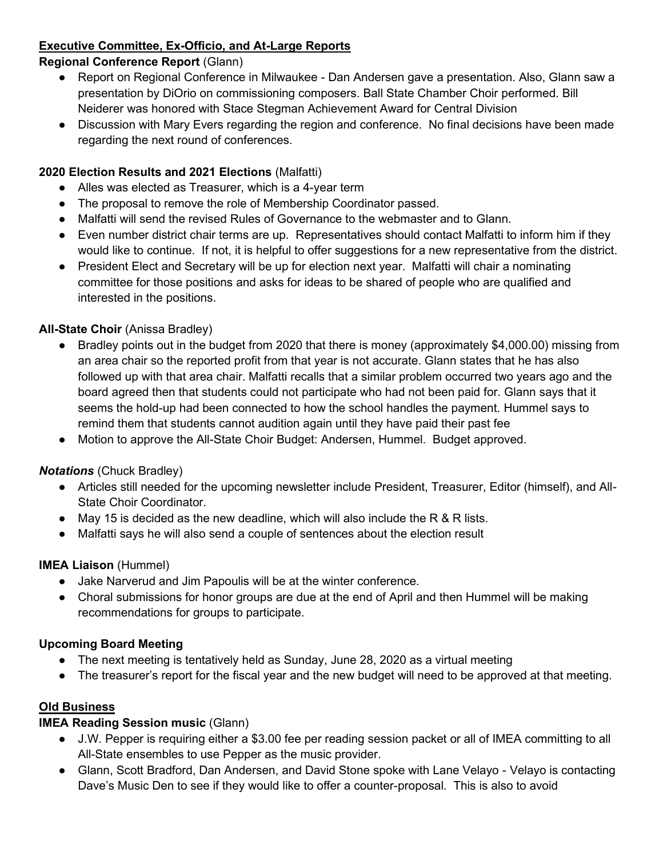# **Executive Committee, Ex-Officio, and At-Large Reports**

#### **Regional Conference Report** (Glann)

- Report on Regional Conference in Milwaukee Dan Andersen gave a presentation. Also, Glann saw a presentation by DiOrio on commissioning composers. Ball State Chamber Choir performed. Bill Neiderer was honored with Stace Stegman Achievement Award for Central Division
- Discussion with Mary Evers regarding the region and conference. No final decisions have been made regarding the next round of conferences.

#### **2020 Election Results and 2021 Elections** (Malfatti)

- Alles was elected as Treasurer, which is a 4-year term
- The proposal to remove the role of Membership Coordinator passed.
- Malfatti will send the revised Rules of Governance to the webmaster and to Glann.
- Even number district chair terms are up. Representatives should contact Malfatti to inform him if they would like to continue. If not, it is helpful to offer suggestions for a new representative from the district.
- President Elect and Secretary will be up for election next year. Malfatti will chair a nominating committee for those positions and asks for ideas to be shared of people who are qualified and interested in the positions.

## **All-State Choir** (Anissa Bradley)

- Bradley points out in the budget from 2020 that there is money (approximately \$4,000.00) missing from an area chair so the reported profit from that year is not accurate. Glann states that he has also followed up with that area chair. Malfatti recalls that a similar problem occurred two years ago and the board agreed then that students could not participate who had not been paid for. Glann says that it seems the hold-up had been connected to how the school handles the payment. Hummel says to remind them that students cannot audition again until they have paid their past fee
- Motion to approve the All-State Choir Budget: Andersen, Hummel. Budget approved.

#### *Notations* (Chuck Bradley)

- Articles still needed for the upcoming newsletter include President, Treasurer, Editor (himself), and All-State Choir Coordinator.
- $\bullet$  May 15 is decided as the new deadline, which will also include the R & R lists.
- Malfatti says he will also send a couple of sentences about the election result

#### **IMEA Liaison** (Hummel)

- Jake Narverud and Jim Papoulis will be at the winter conference.
- Choral submissions for honor groups are due at the end of April and then Hummel will be making recommendations for groups to participate.

#### **Upcoming Board Meeting**

- The next meeting is tentatively held as Sunday, June 28, 2020 as a virtual meeting
- The treasurer's report for the fiscal year and the new budget will need to be approved at that meeting.

# **Old Business**

# **IMEA Reading Session music** (Glann)

- J.W. Pepper is requiring either a \$3.00 fee per reading session packet or all of IMEA committing to all All-State ensembles to use Pepper as the music provider.
- Glann, Scott Bradford, Dan Andersen, and David Stone spoke with Lane Velayo Velayo is contacting Dave's Music Den to see if they would like to offer a counter-proposal. This is also to avoid